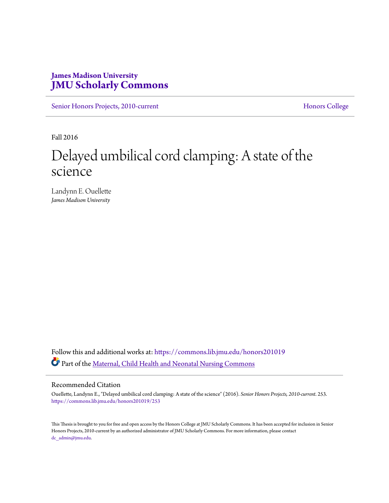# **James Madison University [JMU Scholarly Commons](https://commons.lib.jmu.edu/?utm_source=commons.lib.jmu.edu%2Fhonors201019%2F253&utm_medium=PDF&utm_campaign=PDFCoverPages)**

[Senior Honors Projects, 2010-current](https://commons.lib.jmu.edu/honors201019?utm_source=commons.lib.jmu.edu%2Fhonors201019%2F253&utm_medium=PDF&utm_campaign=PDFCoverPages) [Honors College](https://commons.lib.jmu.edu/honors?utm_source=commons.lib.jmu.edu%2Fhonors201019%2F253&utm_medium=PDF&utm_campaign=PDFCoverPages)

Fall 2016

# Delayed umbilical cord clamping: A state of the science

Landynn E. Ouellette *James Madison University*

Follow this and additional works at: [https://commons.lib.jmu.edu/honors201019](https://commons.lib.jmu.edu/honors201019?utm_source=commons.lib.jmu.edu%2Fhonors201019%2F253&utm_medium=PDF&utm_campaign=PDFCoverPages) Part of the [Maternal, Child Health and Neonatal Nursing Commons](http://network.bepress.com/hgg/discipline/721?utm_source=commons.lib.jmu.edu%2Fhonors201019%2F253&utm_medium=PDF&utm_campaign=PDFCoverPages)

#### Recommended Citation

Ouellette, Landynn E., "Delayed umbilical cord clamping: A state of the science" (2016). *Senior Honors Projects, 2010-current*. 253. [https://commons.lib.jmu.edu/honors201019/253](https://commons.lib.jmu.edu/honors201019/253?utm_source=commons.lib.jmu.edu%2Fhonors201019%2F253&utm_medium=PDF&utm_campaign=PDFCoverPages)

This Thesis is brought to you for free and open access by the Honors College at JMU Scholarly Commons. It has been accepted for inclusion in Senior Honors Projects, 2010-current by an authorized administrator of JMU Scholarly Commons. For more information, please contact [dc\\_admin@jmu.edu.](mailto:dc_admin@jmu.edu)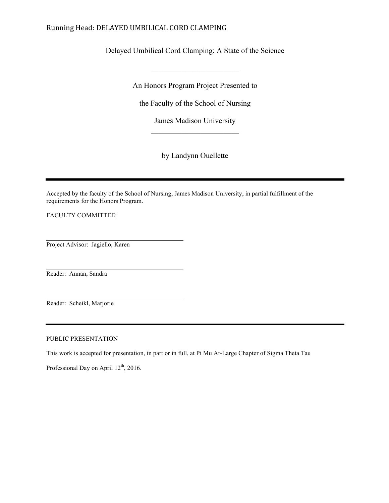# Running Head: DELAYED UMBILICAL CORD CLAMPING

Delayed Umbilical Cord Clamping: A State of the Science

An Honors Program Project Presented to

 $\mathcal{L}_\text{max}$ 

the Faculty of the School of Nursing

James Madison University  $\overline{\phantom{a}}$  , where  $\overline{\phantom{a}}$ 

by Landynn Ouellette

Accepted by the faculty of the School of Nursing, James Madison University, in partial fulfillment of the requirements for the Honors Program.

FACULTY COMMITTEE:

Project Advisor: Jagiello, Karen

Reader: Annan, Sandra

Reader: Scheikl, Marjorie

PUBLIC PRESENTATION

This work is accepted for presentation, in part or in full, at Pi Mu At-Large Chapter of Sigma Theta Tau

Professional Day on April 12<sup>th</sup>, 2016.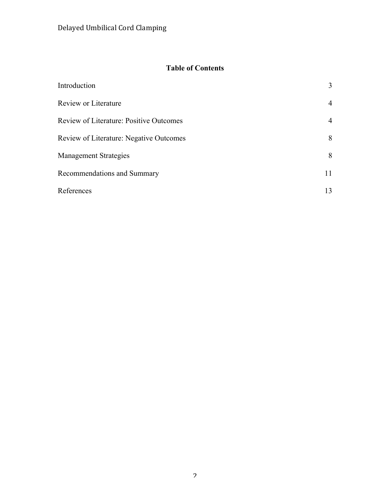# **Table of Contents**

| Introduction                                   | 3              |
|------------------------------------------------|----------------|
| Review or Literature                           | $\overline{4}$ |
| <b>Review of Literature: Positive Outcomes</b> | 4              |
| <b>Review of Literature: Negative Outcomes</b> | 8              |
| <b>Management Strategies</b>                   | 8              |
| Recommendations and Summary                    | 11             |
| References                                     | 13             |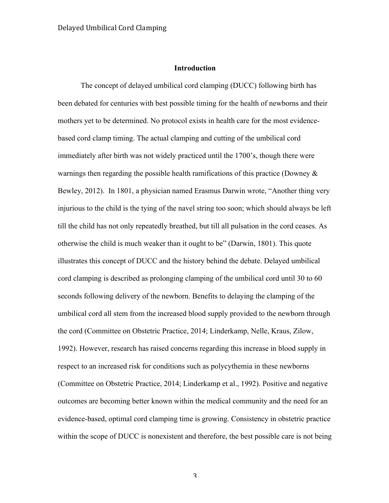#### **Introduction**

The concept of delayed umbilical cord clamping (DUCC) following birth has been debated for centuries with best possible timing for the health of newborns and their mothers yet to be determined. No protocol exists in health care for the most evidencebased cord clamp timing. The actual clamping and cutting of the umbilical cord immediately after birth was not widely practiced until the 1700's, though there were warnings then regarding the possible health ramifications of this practice (Downey  $\&$ Bewley, 2012). In 1801, a physician named Erasmus Darwin wrote, "Another thing very injurious to the child is the tying of the navel string too soon; which should always be left till the child has not only repeatedly breathed, but till all pulsation in the cord ceases. As otherwise the child is much weaker than it ought to be" (Darwin, 1801). This quote illustrates this concept of DUCC and the history behind the debate. Delayed umbilical cord clamping is described as prolonging clamping of the umbilical cord until 30 to 60 seconds following delivery of the newborn. Benefits to delaying the clamping of the umbilical cord all stem from the increased blood supply provided to the newborn through the cord (Committee on Obstetric Practice, 2014; Linderkamp, Nelle, Kraus, Zilow, 1992). However, research has raised concerns regarding this increase in blood supply in respect to an increased risk for conditions such as polycythemia in these newborns (Committee on Obstetric Practice, 2014; Linderkamp et al., 1992). Positive and negative outcomes are becoming better known within the medical community and the need for an evidence-based, optimal cord clamping time is growing. Consistency in obstetric practice within the scope of DUCC is nonexistent and therefore, the best possible care is not being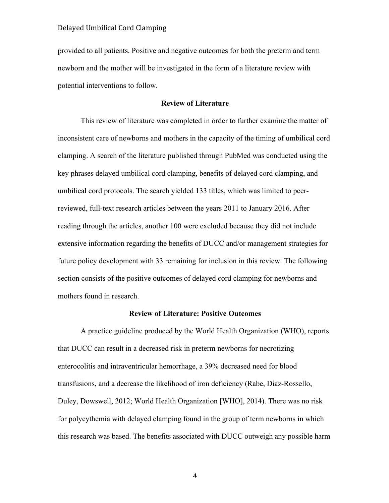provided to all patients. Positive and negative outcomes for both the preterm and term newborn and the mother will be investigated in the form of a literature review with potential interventions to follow.

#### **Review of Literature**

This review of literature was completed in order to further examine the matter of inconsistent care of newborns and mothers in the capacity of the timing of umbilical cord clamping. A search of the literature published through PubMed was conducted using the key phrases delayed umbilical cord clamping, benefits of delayed cord clamping, and umbilical cord protocols. The search yielded 133 titles, which was limited to peerreviewed, full-text research articles between the years 2011 to January 2016. After reading through the articles, another 100 were excluded because they did not include extensive information regarding the benefits of DUCC and/or management strategies for future policy development with 33 remaining for inclusion in this review. The following section consists of the positive outcomes of delayed cord clamping for newborns and mothers found in research.

#### **Review of Literature: Positive Outcomes**

A practice guideline produced by the World Health Organization (WHO), reports that DUCC can result in a decreased risk in preterm newborns for necrotizing enterocolitis and intraventricular hemorrhage, a 39% decreased need for blood transfusions, and a decrease the likelihood of iron deficiency (Rabe, Diaz-Rossello, Duley, Dowswell, 2012; World Health Organization [WHO], 2014). There was no risk for polycythemia with delayed clamping found in the group of term newborns in which this research was based. The benefits associated with DUCC outweigh any possible harm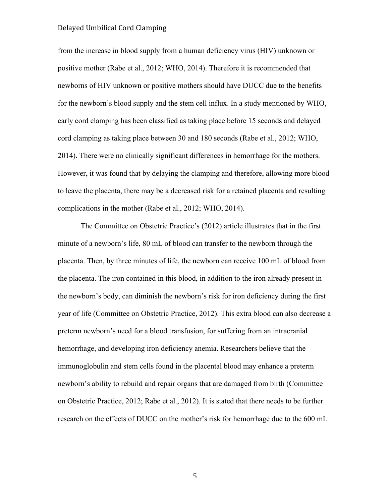from the increase in blood supply from a human deficiency virus (HIV) unknown or positive mother (Rabe et al., 2012; WHO, 2014). Therefore it is recommended that newborns of HIV unknown or positive mothers should have DUCC due to the benefits for the newborn's blood supply and the stem cell influx. In a study mentioned by WHO, early cord clamping has been classified as taking place before 15 seconds and delayed cord clamping as taking place between 30 and 180 seconds (Rabe et al., 2012; WHO, 2014). There were no clinically significant differences in hemorrhage for the mothers. However, it was found that by delaying the clamping and therefore, allowing more blood to leave the placenta, there may be a decreased risk for a retained placenta and resulting complications in the mother (Rabe et al., 2012; WHO, 2014).

The Committee on Obstetric Practice's (2012) article illustrates that in the first minute of a newborn's life, 80 mL of blood can transfer to the newborn through the placenta. Then, by three minutes of life, the newborn can receive 100 mL of blood from the placenta. The iron contained in this blood, in addition to the iron already present in the newborn's body, can diminish the newborn's risk for iron deficiency during the first year of life (Committee on Obstetric Practice, 2012). This extra blood can also decrease a preterm newborn's need for a blood transfusion, for suffering from an intracranial hemorrhage, and developing iron deficiency anemia. Researchers believe that the immunoglobulin and stem cells found in the placental blood may enhance a preterm newborn's ability to rebuild and repair organs that are damaged from birth (Committee on Obstetric Practice, 2012; Rabe et al., 2012). It is stated that there needs to be further research on the effects of DUCC on the mother's risk for hemorrhage due to the 600 mL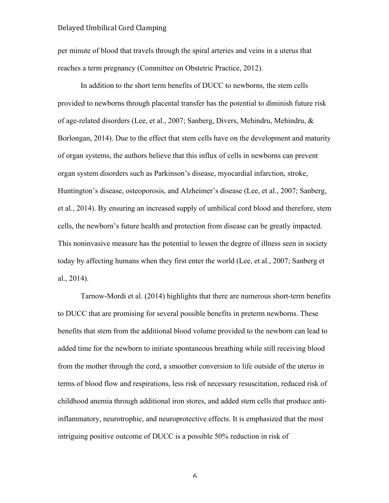per minute of blood that travels through the spiral arteries and veins in a uterus that reaches a term pregnancy (Committee on Obstetric Practice, 2012).

In addition to the short term benefits of DUCC to newborns, the stem cells provided to newborns through placental transfer has the potential to diminish future risk of age-related disorders (Lee, et al., 2007; Sanberg, Divers, Mehindru, Mehindru, & Borlongan, 2014). Due to the effect that stem cells have on the development and maturity of organ systems, the authors believe that this influx of cells in newborns can prevent organ system disorders such as Parkinson's disease, myocardial infarction, stroke, Huntington's disease, osteoporosis, and Alzheimer's disease (Lee, et al., 2007; Sanberg, et al., 2014). By ensuring an increased supply of umbilical cord blood and therefore, stem cells, the newborn's future health and protection from disease can be greatly impacted. This noninvasive measure has the potential to lessen the degree of illness seen in society today by affecting humans when they first enter the world (Lee, et al., 2007; Sanberg et al., 2014).

Tarnow-Mordi et al. (2014) highlights that there are numerous short-term benefits to DUCC that are promising for several possible benefits in preterm newborns. These benefits that stem from the additional blood volume provided to the newborn can lead to added time for the newborn to initiate spontaneous breathing while still receiving blood from the mother through the cord, a smoother conversion to life outside of the uterus in terms of blood flow and respirations, less risk of necessary resuscitation, reduced risk of childhood anemia through additional iron stores, and added stem cells that produce antiinflammatory, neurotrophic, and neuroprotective effects. It is emphasized that the most intriguing positive outcome of DUCC is a possible 50% reduction in risk of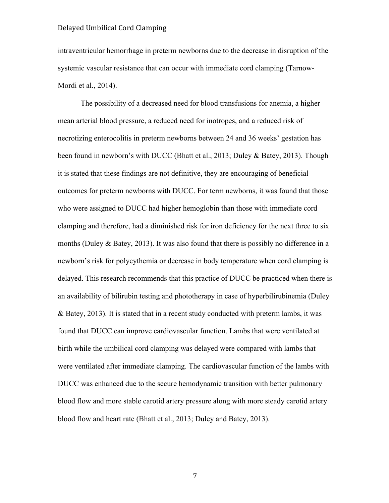intraventricular hemorrhage in preterm newborns due to the decrease in disruption of the systemic vascular resistance that can occur with immediate cord clamping (Tarnow-Mordi et al., 2014).

The possibility of a decreased need for blood transfusions for anemia, a higher mean arterial blood pressure, a reduced need for inotropes, and a reduced risk of necrotizing enterocolitis in preterm newborns between 24 and 36 weeks' gestation has been found in newborn's with DUCC (Bhatt et al., 2013; Duley & Batey, 2013). Though it is stated that these findings are not definitive, they are encouraging of beneficial outcomes for preterm newborns with DUCC. For term newborns, it was found that those who were assigned to DUCC had higher hemoglobin than those with immediate cord clamping and therefore, had a diminished risk for iron deficiency for the next three to six months (Duley  $\&$  Batey, 2013). It was also found that there is possibly no difference in a newborn's risk for polycythemia or decrease in body temperature when cord clamping is delayed. This research recommends that this practice of DUCC be practiced when there is an availability of bilirubin testing and phototherapy in case of hyperbilirubinemia (Duley & Batey, 2013). It is stated that in a recent study conducted with preterm lambs, it was found that DUCC can improve cardiovascular function. Lambs that were ventilated at birth while the umbilical cord clamping was delayed were compared with lambs that were ventilated after immediate clamping. The cardiovascular function of the lambs with DUCC was enhanced due to the secure hemodynamic transition with better pulmonary blood flow and more stable carotid artery pressure along with more steady carotid artery blood flow and heart rate (Bhatt et al., 2013; Duley and Batey, 2013).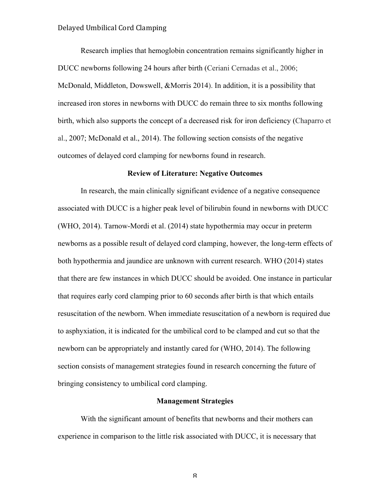Research implies that hemoglobin concentration remains significantly higher in DUCC newborns following 24 hours after birth (Ceriani Cernadas et al., 2006; McDonald, Middleton, Dowswell, &Morris 2014). In addition, it is a possibility that increased iron stores in newborns with DUCC do remain three to six months following birth, which also supports the concept of a decreased risk for iron deficiency (Chaparro et al., 2007; McDonald et al., 2014). The following section consists of the negative outcomes of delayed cord clamping for newborns found in research.

#### **Review of Literature: Negative Outcomes**

In research, the main clinically significant evidence of a negative consequence associated with DUCC is a higher peak level of bilirubin found in newborns with DUCC (WHO, 2014). Tarnow-Mordi et al. (2014) state hypothermia may occur in preterm newborns as a possible result of delayed cord clamping, however, the long-term effects of both hypothermia and jaundice are unknown with current research. WHO (2014) states that there are few instances in which DUCC should be avoided. One instance in particular that requires early cord clamping prior to 60 seconds after birth is that which entails resuscitation of the newborn. When immediate resuscitation of a newborn is required due to asphyxiation, it is indicated for the umbilical cord to be clamped and cut so that the newborn can be appropriately and instantly cared for (WHO, 2014). The following section consists of management strategies found in research concerning the future of bringing consistency to umbilical cord clamping.

#### **Management Strategies**

With the significant amount of benefits that newborns and their mothers can experience in comparison to the little risk associated with DUCC, it is necessary that

 ${\mathsf R}$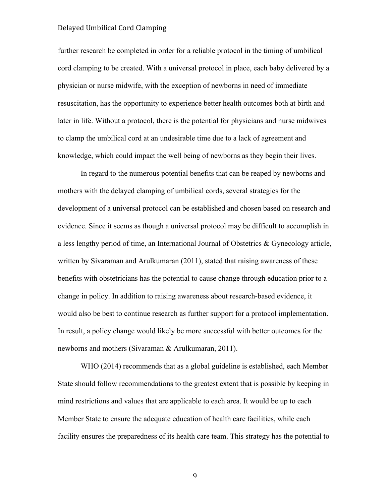further research be completed in order for a reliable protocol in the timing of umbilical cord clamping to be created. With a universal protocol in place, each baby delivered by a physician or nurse midwife, with the exception of newborns in need of immediate resuscitation, has the opportunity to experience better health outcomes both at birth and later in life. Without a protocol, there is the potential for physicians and nurse midwives to clamp the umbilical cord at an undesirable time due to a lack of agreement and knowledge, which could impact the well being of newborns as they begin their lives.

In regard to the numerous potential benefits that can be reaped by newborns and mothers with the delayed clamping of umbilical cords, several strategies for the development of a universal protocol can be established and chosen based on research and evidence. Since it seems as though a universal protocol may be difficult to accomplish in a less lengthy period of time, an International Journal of Obstetrics & Gynecology article, written by Sivaraman and Arulkumaran (2011), stated that raising awareness of these benefits with obstetricians has the potential to cause change through education prior to a change in policy. In addition to raising awareness about research-based evidence, it would also be best to continue research as further support for a protocol implementation. In result, a policy change would likely be more successful with better outcomes for the newborns and mothers (Sivaraman & Arulkumaran, 2011).

WHO (2014) recommends that as a global guideline is established, each Member State should follow recommendations to the greatest extent that is possible by keeping in mind restrictions and values that are applicable to each area. It would be up to each Member State to ensure the adequate education of health care facilities, while each facility ensures the preparedness of its health care team. This strategy has the potential to

 $\mathbf q$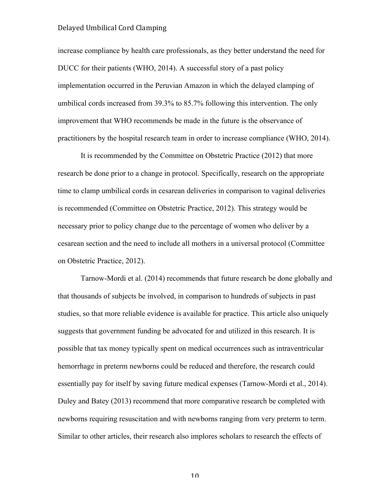increase compliance by health care professionals, as they better understand the need for DUCC for their patients (WHO, 2014). A successful story of a past policy implementation occurred in the Peruvian Amazon in which the delayed clamping of umbilical cords increased from 39.3% to 85.7% following this intervention. The only improvement that WHO recommends be made in the future is the observance of practitioners by the hospital research team in order to increase compliance (WHO, 2014).

It is recommended by the Committee on Obstetric Practice (2012) that more research be done prior to a change in protocol. Specifically, research on the appropriate time to clamp umbilical cords in cesarean deliveries in comparison to vaginal deliveries is recommended (Committee on Obstetric Practice, 2012). This strategy would be necessary prior to policy change due to the percentage of women who deliver by a cesarean section and the need to include all mothers in a universal protocol (Committee on Obstetric Practice, 2012).

Tarnow-Mordi et al. (2014) recommends that future research be done globally and that thousands of subjects be involved, in comparison to hundreds of subjects in past studies, so that more reliable evidence is available for practice. This article also uniquely suggests that government funding be advocated for and utilized in this research. It is possible that tax money typically spent on medical occurrences such as intraventricular hemorrhage in preterm newborns could be reduced and therefore, the research could essentially pay for itself by saving future medical expenses (Tarnow-Mordi et al., 2014). Duley and Batey (2013) recommend that more comparative research be completed with newborns requiring resuscitation and with newborns ranging from very preterm to term. Similar to other articles, their research also implores scholars to research the effects of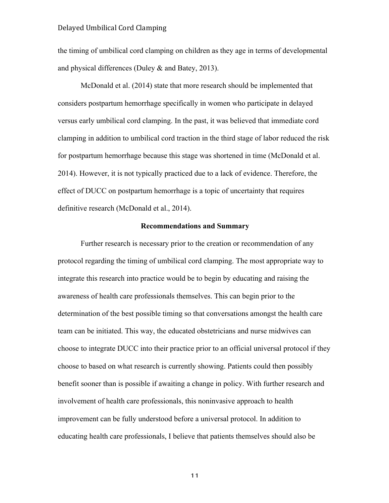the timing of umbilical cord clamping on children as they age in terms of developmental and physical differences (Duley & and Batey, 2013).

McDonald et al. (2014) state that more research should be implemented that considers postpartum hemorrhage specifically in women who participate in delayed versus early umbilical cord clamping. In the past, it was believed that immediate cord clamping in addition to umbilical cord traction in the third stage of labor reduced the risk for postpartum hemorrhage because this stage was shortened in time (McDonald et al. 2014). However, it is not typically practiced due to a lack of evidence. Therefore, the effect of DUCC on postpartum hemorrhage is a topic of uncertainty that requires definitive research (McDonald et al., 2014).

#### **Recommendations and Summary**

Further research is necessary prior to the creation or recommendation of any protocol regarding the timing of umbilical cord clamping. The most appropriate way to integrate this research into practice would be to begin by educating and raising the awareness of health care professionals themselves. This can begin prior to the determination of the best possible timing so that conversations amongst the health care team can be initiated. This way, the educated obstetricians and nurse midwives can choose to integrate DUCC into their practice prior to an official universal protocol if they choose to based on what research is currently showing. Patients could then possibly benefit sooner than is possible if awaiting a change in policy. With further research and involvement of health care professionals, this noninvasive approach to health improvement can be fully understood before a universal protocol. In addition to educating health care professionals, I believe that patients themselves should also be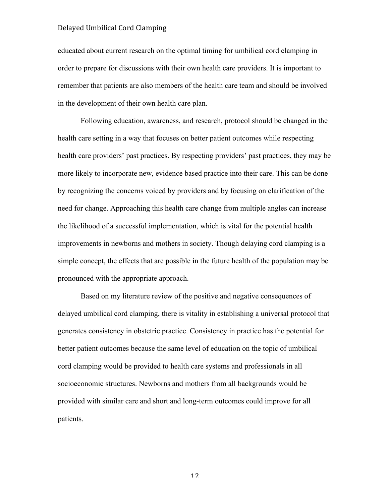educated about current research on the optimal timing for umbilical cord clamping in order to prepare for discussions with their own health care providers. It is important to remember that patients are also members of the health care team and should be involved in the development of their own health care plan.

Following education, awareness, and research, protocol should be changed in the health care setting in a way that focuses on better patient outcomes while respecting health care providers' past practices. By respecting providers' past practices, they may be more likely to incorporate new, evidence based practice into their care. This can be done by recognizing the concerns voiced by providers and by focusing on clarification of the need for change. Approaching this health care change from multiple angles can increase the likelihood of a successful implementation, which is vital for the potential health improvements in newborns and mothers in society. Though delaying cord clamping is a simple concept, the effects that are possible in the future health of the population may be pronounced with the appropriate approach.

Based on my literature review of the positive and negative consequences of delayed umbilical cord clamping, there is vitality in establishing a universal protocol that generates consistency in obstetric practice. Consistency in practice has the potential for better patient outcomes because the same level of education on the topic of umbilical cord clamping would be provided to health care systems and professionals in all socioeconomic structures. Newborns and mothers from all backgrounds would be provided with similar care and short and long-term outcomes could improve for all patients.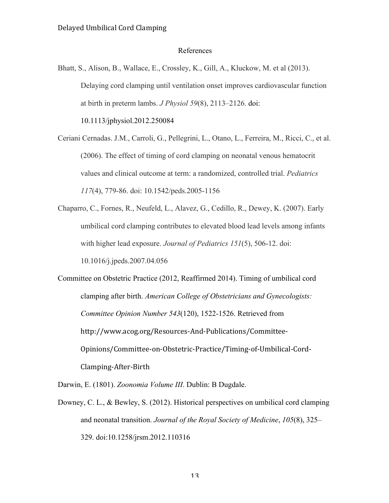#### References

Bhatt, S., Alison, B., Wallace, E., Crossley, K., Gill, A., Kluckow, M. et al (2013). Delaying cord clamping until ventilation onset improves cardiovascular function at birth in preterm lambs. *J Physiol 59*(8), 2113–2126. doi: 10.1113/jphysiol.2012.250084

Ceriani Cernadas. J.M., Carroli, G., Pellegrini, L., Otano, L., Ferreira, M., Ricci, C., et al. (2006). The effect of timing of cord clamping on neonatal venous hematocrit values and clinical outcome at term: a randomized, controlled trial. *Pediatrics 117*(4), 779-86. doi: 10.1542/peds.2005-1156

Chaparro, C., Fornes, R., Neufeld, L., Alavez, G., Cedillo, R., Dewey, K. (2007). Early umbilical cord clamping contributes to elevated blood lead levels among infants with higher lead exposure. *Journal of Pediatrics 151*(5), 506-12. doi: 10.1016/j.jpeds.2007.04.056

Committee on Obstetric Practice (2012, Reaffirmed 2014). Timing of umbilical cord clamping after birth. *American College of Obstetricians and Gynecologists: Committee Opinion Number 543*(120), 1522-1526. Retrieved from http://www.acog.org/Resources-And-Publications/Committee-Opinions/Committee-on-Obstetric-Practice/Timing-of-Umbilical-Cord-Clamping-After-Birth

Darwin, E. (1801). *Zoonomia Volume III*. Dublin: B Dugdale.

Downey, C. L., & Bewley, S. (2012). Historical perspectives on umbilical cord clamping and neonatal transition. *Journal of the Royal Society of Medicine*, *105*(8), 325– 329. doi:10.1258/jrsm.2012.110316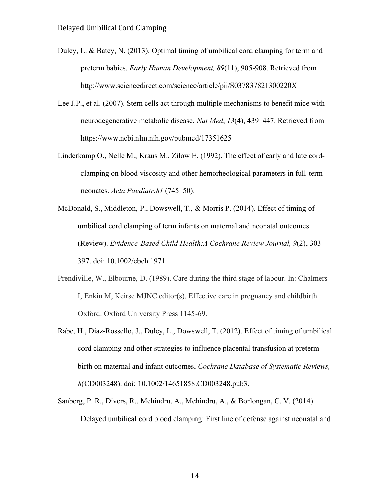- Duley, L. & Batey, N. (2013). Optimal timing of umbilical cord clamping for term and preterm babies. *Early Human Development, 89*(11), 905-908. Retrieved from http://www.sciencedirect.com/science/article/pii/S037837821300220X
- Lee J.P., et al. (2007). Stem cells act through multiple mechanisms to benefit mice with neurodegenerative metabolic disease. *Nat Med*, *13*(4), 439–447. Retrieved from https://www.ncbi.nlm.nih.gov/pubmed/17351625
- Linderkamp O., Nelle M., Kraus M., Zilow E. (1992). The effect of early and late cordclamping on blood viscosity and other hemorheological parameters in full-term neonates. *Acta Paediatr*,*81* (745–50).
- McDonald, S., Middleton, P., Dowswell, T., & Morris P. (2014). Effect of timing of umbilical cord clamping of term infants on maternal and neonatal outcomes (Review). *Evidence-Based Child Health:A Cochrane Review Journal, 9*(2), 303- 397. doi: 10.1002/ebch.1971
- Prendiville, W., Elbourne, D. (1989). Care during the third stage of labour. In: Chalmers I, Enkin M, Keirse MJNC editor(s). Effective care in pregnancy and childbirth. Oxford: Oxford University Press 1145-69.
- Rabe, H., Diaz-Rossello, J., Duley, L., Dowswell, T. (2012). Effect of timing of umbilical cord clamping and other strategies to influence placental transfusion at preterm birth on maternal and infant outcomes. *Cochrane Database of Systematic Reviews, 8*(CD003248). doi: 10.1002/14651858.CD003248.pub3.
- Sanberg, P. R., Divers, R., Mehindru, A., Mehindru, A., & Borlongan, C. V. (2014). Delayed umbilical cord blood clamping: First line of defense against neonatal and